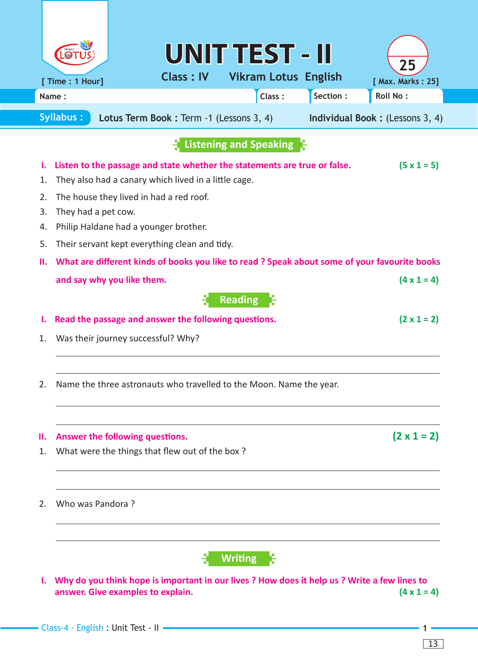|                                                                                                 |                                                                                                 |                                       | UNIT TEST - II   |                |                             |          |                         |  |
|-------------------------------------------------------------------------------------------------|-------------------------------------------------------------------------------------------------|---------------------------------------|------------------|----------------|-----------------------------|----------|-------------------------|--|
|                                                                                                 | [ Time : 1 Hour]                                                                                |                                       | <b>Class: IV</b> |                | <b>Vikram Lotus English</b> |          | 25<br>[ Max. Marks: 25] |  |
| Name:                                                                                           |                                                                                                 |                                       |                  |                | Class:                      | Section: | Roll No:                |  |
| <b>Syllabus:</b><br>Lotus Term Book : Term -1 (Lessons 3, 4)<br>Individual Book: (Lessons 3, 4) |                                                                                                 |                                       |                  |                |                             |          |                         |  |
| <b>Listening and Speaking</b>                                                                   |                                                                                                 |                                       |                  |                |                             |          |                         |  |
| ι.                                                                                              | Listen to the passage and state whether the statements are true or false.<br>$(5 \times 1 = 5)$ |                                       |                  |                |                             |          |                         |  |
| 1.                                                                                              | They also had a canary which lived in a little cage.                                            |                                       |                  |                |                             |          |                         |  |
| 2.                                                                                              | The house they lived in had a red roof.                                                         |                                       |                  |                |                             |          |                         |  |
| 3.                                                                                              |                                                                                                 | They had a pet cow.                   |                  |                |                             |          |                         |  |
| 4.                                                                                              |                                                                                                 | Philip Haldane had a younger brother. |                  |                |                             |          |                         |  |
| 5.                                                                                              | Their servant kept everything clean and tidy.                                                   |                                       |                  |                |                             |          |                         |  |
| П.                                                                                              | What are different kinds of books you like to read ? Speak about some of your favourite books   |                                       |                  |                |                             |          |                         |  |
|                                                                                                 | and say why you like them.                                                                      |                                       |                  |                |                             |          | $(4 \times 1 = 4)$      |  |
|                                                                                                 |                                                                                                 |                                       |                  | <b>Reading</b> |                             |          |                         |  |
| ι.                                                                                              | Read the passage and answer the following questions.                                            |                                       |                  |                |                             |          | $(2 \times 1 = 2)$      |  |
| 1.                                                                                              | Was their journey successful? Why?                                                              |                                       |                  |                |                             |          |                         |  |
|                                                                                                 |                                                                                                 |                                       |                  |                |                             |          |                         |  |
|                                                                                                 |                                                                                                 |                                       |                  |                |                             |          |                         |  |
| 2.                                                                                              | Name the three astronauts who travelled to the Moon. Name the year.                             |                                       |                  |                |                             |          |                         |  |
|                                                                                                 |                                                                                                 |                                       |                  |                |                             |          |                         |  |
|                                                                                                 |                                                                                                 |                                       |                  |                |                             |          |                         |  |
| Ш.<br>1.                                                                                        | $(2 \times 1 = 2)$<br>Answer the following questions.                                           |                                       |                  |                |                             |          |                         |  |
|                                                                                                 | What were the things that flew out of the box?                                                  |                                       |                  |                |                             |          |                         |  |
|                                                                                                 |                                                                                                 |                                       |                  |                |                             |          |                         |  |
| 2.                                                                                              | Who was Pandora?                                                                                |                                       |                  |                |                             |          |                         |  |
|                                                                                                 |                                                                                                 |                                       |                  |                |                             |          |                         |  |
|                                                                                                 |                                                                                                 |                                       |                  |                |                             |          |                         |  |
|                                                                                                 | <b>Writing</b>                                                                                  |                                       |                  |                |                             |          |                         |  |
| I. Why do you think hope is important in our lives? How does it help us? Write a few lines to   |                                                                                                 |                                       |                  |                |                             |          |                         |  |
|                                                                                                 | answer. Give examples to explain.<br>$(4 \times 1 = 4)$                                         |                                       |                  |                |                             |          |                         |  |
|                                                                                                 |                                                                                                 |                                       |                  |                |                             |          |                         |  |
|                                                                                                 | - Class-4 - English : Unit Test - II -                                                          |                                       |                  |                |                             |          |                         |  |